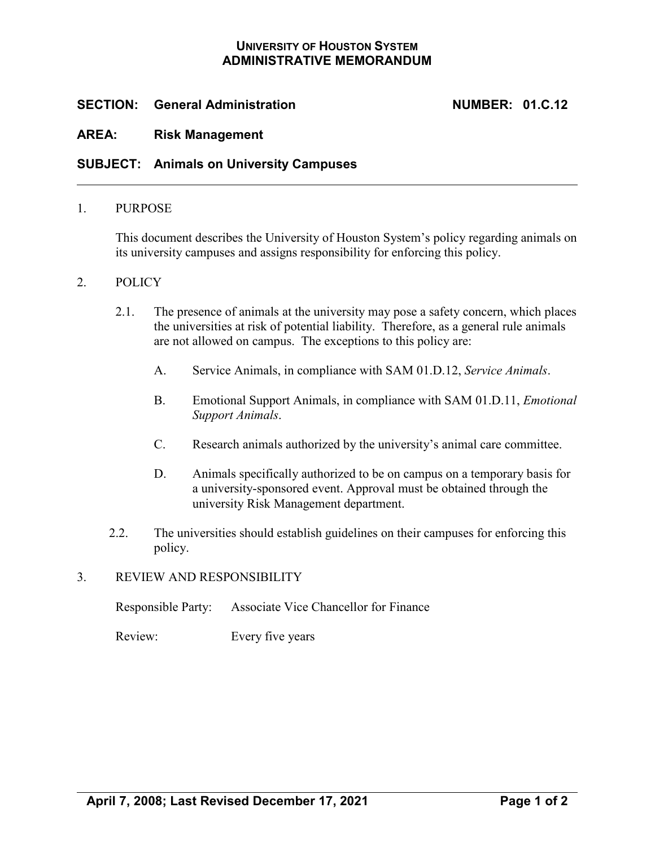## **UNIVERSITY OF HOUSTON SYSTEM ADMINISTRATIVE MEMORANDUM**

# **SECTION: General Administration NUMBER: 01.C.12**

### **AREA: Risk Management**

### **SUBJECT: Animals on University Campuses**

#### 1. PURPOSE

This document describes the University of Houston System's policy regarding animals on its university campuses and assigns responsibility for enforcing this policy.

#### 2. POLICY

- 2.1. The presence of animals at the university may pose a safety concern, which places the universities at risk of potential liability. Therefore, as a general rule animals are not allowed on campus. The exceptions to this policy are:
	- A. Service Animals, in compliance with SAM 01.D.12, *Service Animals*.
	- B. Emotional Support Animals, in compliance with SAM 01.D.11, *Emotional Support Animals*.
	- C. Research animals authorized by the university's animal care committee.
	- D. Animals specifically authorized to be on campus on a temporary basis for a university-sponsored event. Approval must be obtained through the university Risk Management department.
- 2.2. The universities should establish guidelines on their campuses for enforcing this policy.

### 3. REVIEW AND RESPONSIBILITY

| Responsible Party: | Associate Vice Chancellor for Finance |
|--------------------|---------------------------------------|
|                    |                                       |

Review: Every five years